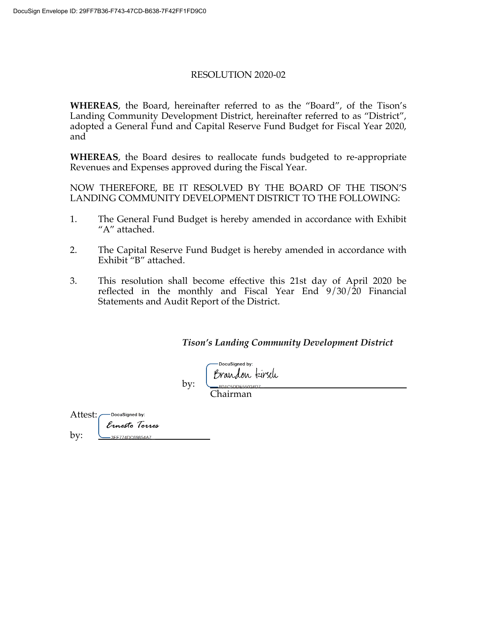#### RESOLUTION 2020-02

**WHEREAS**, the Board, hereinafter referred to as the "Board", of the Tison's Landing Community Development District, hereinafter referred to as "District", adopted a General Fund and Capital Reserve Fund Budget for Fiscal Year 2020, and

**WHEREAS**, the Board desires to reallocate funds budgeted to re-appropriate Revenues and Expenses approved during the Fiscal Year.

NOW THEREFORE, BE IT RESOLVED BY THE BOARD OF THE TISON'S LANDING COMMUNITY DEVELOPMENT DISTRICT TO THE FOLLOWING:

- 1. The General Fund Budget is hereby amended in accordance with Exhibit "A" attached.
- 2. The Capital Reserve Fund Budget is hereby amended in accordance with Exhibit "B" attached.
- 3. This resolution shall become effective this 21st day of April 2020 be reflected in the monthly and Fiscal Year End 9/30/20 Financial Statements and Audit Report of the District.

*Tison's Landing Community Development District*

DocuSianed by: Brandon kirsch

Chairman

by:

Attest: -DocuSianed by: Ernesto Torres by: -3FE774DC69854A7.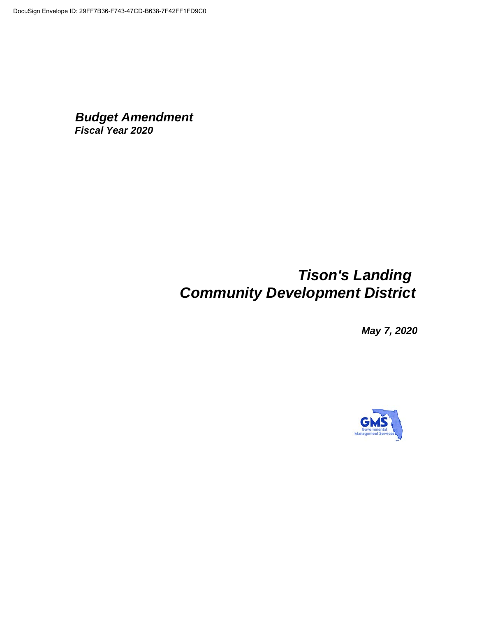### *Budget Amendment Fiscal Year 2020*

## *Tison's Landing Community Development District*

*May 7, 2020*

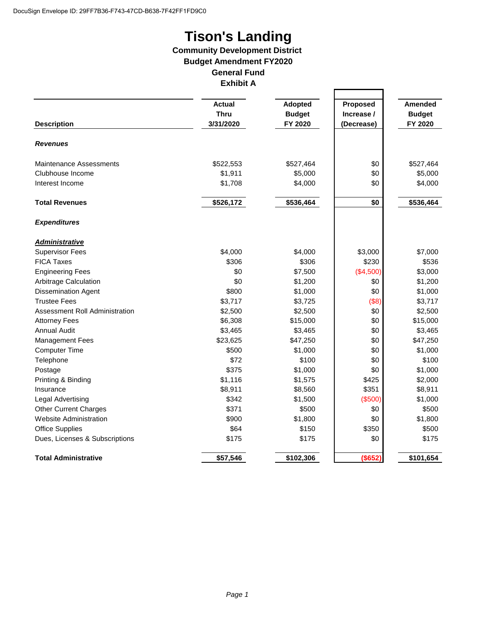# **Tison's Landing**

#### **Community Development District Budget Amendment FY2020 General Fund Exhibit A**

|                                |                              |                                 |                        | <b>Amended</b><br><b>Budget</b> |
|--------------------------------|------------------------------|---------------------------------|------------------------|---------------------------------|
|                                | <b>Actual</b><br><b>Thru</b> | <b>Adopted</b><br><b>Budget</b> | Proposed<br>Increase / |                                 |
|                                |                              |                                 |                        |                                 |
| <b>Revenues</b>                |                              |                                 |                        |                                 |
| <b>Maintenance Assessments</b> | \$522,553                    | \$527,464                       | \$0                    | \$527,464                       |
| Clubhouse Income               | \$1,911                      | \$5,000                         | \$0                    | \$5,000                         |
| Interest Income                | \$1,708                      | \$4,000                         | \$0                    | \$4,000                         |
| <b>Total Revenues</b>          | \$526,172                    | \$536,464                       | \$0                    | \$536,464                       |
| <b>Expenditures</b>            |                              |                                 |                        |                                 |
| <b>Administrative</b>          |                              |                                 |                        |                                 |
| <b>Supervisor Fees</b>         | \$4,000                      | \$4,000                         | \$3,000                | \$7,000                         |
| <b>FICA Taxes</b>              | \$306                        | \$306                           | \$230                  | \$536                           |
| <b>Engineering Fees</b>        | \$0                          | \$7,500                         | (\$4,500)              | \$3,000                         |
| Arbitrage Calculation          | \$0                          | \$1,200                         | \$0                    | \$1,200                         |
| <b>Dissemination Agent</b>     | \$800                        | \$1,000                         | \$0                    | \$1,000                         |
| <b>Trustee Fees</b>            | \$3,717                      | \$3,725                         | (\$8)                  | \$3,717                         |
| Assessment Roll Administration | \$2,500                      | \$2,500                         | \$0                    | \$2,500                         |
| <b>Attorney Fees</b>           | \$6,308                      | \$15,000                        | \$0                    | \$15,000                        |
| <b>Annual Audit</b>            | \$3,465                      | \$3,465                         | \$0                    | \$3,465                         |
| <b>Management Fees</b>         | \$23,625                     | \$47,250                        | \$0                    | \$47,250                        |
| <b>Computer Time</b>           | \$500                        | \$1,000                         | \$0                    | \$1,000                         |
| Telephone                      | \$72                         | \$100                           | \$0                    | \$100                           |
| Postage                        | \$375                        | \$1,000                         | \$0                    | \$1,000                         |
| Printing & Binding             | \$1,116                      | \$1,575                         | \$425                  | \$2,000                         |
| Insurance                      | \$8,911                      | \$8,560                         | \$351                  | \$8,911                         |
| Legal Advertising              | \$342                        | \$1,500                         | (\$500)                | \$1,000                         |
| <b>Other Current Charges</b>   | \$371                        | \$500                           | \$0                    | \$500                           |
| Website Administration         | \$900                        | \$1,800                         | \$0                    | \$1,800                         |
| <b>Office Supplies</b>         | \$64                         | \$150                           | \$350                  | \$500                           |
| Dues, Licenses & Subscriptions | \$175                        | \$175                           | \$0                    | \$175                           |
| <b>Total Administrative</b>    | \$57,546                     | \$102,306                       | (\$652)                | \$101,654                       |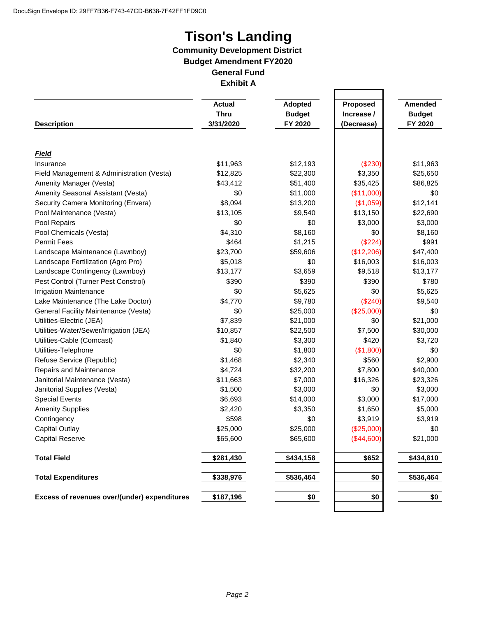# **Tison's Landing**

#### **Community Development District Budget Amendment FY2020 General Fund Exhibit A**

|                                              | <b>Actual</b> | Adopted       | Proposed   | <b>Amended</b> |
|----------------------------------------------|---------------|---------------|------------|----------------|
|                                              | <b>Thru</b>   | <b>Budget</b> | Increase / | <b>Budget</b>  |
| <b>Description</b>                           | 3/31/2020     | FY 2020       | (Decrease) | FY 2020        |
|                                              |               |               |            |                |
| <b>Field</b>                                 |               |               |            |                |
| Insurance                                    | \$11,963      | \$12,193      | (\$230)    | \$11,963       |
| Field Management & Administration (Vesta)    | \$12,825      | \$22,300      | \$3,350    | \$25,650       |
| Amenity Manager (Vesta)                      | \$43,412      | \$51,400      | \$35,425   | \$86,825       |
| Amenity Seasonal Assistant (Vesta)           | \$0           | \$11,000      | (\$11,000) | \$0            |
| Security Camera Monitoring (Envera)          | \$8,094       | \$13,200      | (\$1,059)  | \$12,141       |
| Pool Maintenance (Vesta)                     | \$13,105      | \$9,540       | \$13,150   | \$22,690       |
| Pool Repairs                                 | \$0           | \$0           | \$3,000    | \$3,000        |
| Pool Chemicals (Vesta)                       | \$4,310       | \$8,160       | \$0        | \$8,160        |
| <b>Permit Fees</b>                           | \$464         | \$1,215       | (\$224)    | \$991          |
| Landscape Maintenance (Lawnboy)              | \$23,700      | \$59,606      | (\$12,206) | \$47,400       |
| Landscape Fertilization (Agro Pro)           | \$5,018       | \$0           | \$16,003   | \$16,003       |
| Landscape Contingency (Lawnboy)              | \$13,177      | \$3,659       | \$9,518    | \$13,177       |
| Pest Control (Turner Pest Constrol)          | \$390         | \$390         | \$390      | \$780          |
| <b>Irrigation Maintenance</b>                | \$0           | \$5,625       | \$0        | \$5,625        |
| Lake Maintenance (The Lake Doctor)           | \$4,770       | \$9,780       | (\$240)    | \$9,540        |
| General Facility Maintenance (Vesta)         | \$0           | \$25,000      | (\$25,000) | \$0            |
| Utilities-Electric (JEA)                     | \$7,839       | \$21,000      | \$0        | \$21,000       |
| Utilities-Water/Sewer/Irrigation (JEA)       | \$10,857      | \$22,500      | \$7,500    | \$30,000       |
| Utilities-Cable (Comcast)                    | \$1,840       | \$3,300       | \$420      | \$3,720        |
| Utilities-Telephone                          | \$0           | \$1,800       | (\$1,800)  | \$0            |
| Refuse Service (Republic)                    | \$1,468       | \$2,340       | \$560      | \$2,900        |
| Repairs and Maintenance                      | \$4,724       | \$32,200      | \$7,800    | \$40,000       |
| Janitorial Maintenance (Vesta)               | \$11,663      | \$7,000       | \$16,326   | \$23,326       |
| Janitorial Supplies (Vesta)                  | \$1,500       | \$3,000       | \$0        | \$3,000        |
| <b>Special Events</b>                        | \$6,693       | \$14,000      | \$3,000    | \$17,000       |
| <b>Amenity Supplies</b>                      | \$2,420       | \$3,350       | \$1,650    | \$5,000        |
| Contingency                                  | \$598         | \$0           | \$3,919    | \$3,919        |
| <b>Capital Outlay</b>                        | \$25,000      | \$25,000      | (\$25,000) | \$0            |
| <b>Capital Reserve</b>                       | \$65,600      | \$65,600      | (\$44,600) | \$21,000       |
| <b>Total Field</b>                           | \$281,430     | \$434,158     | \$652      | \$434,810      |
| <b>Total Expenditures</b>                    | \$338,976     | \$536,464     | \$0        | \$536,464      |
| Excess of revenues over/(under) expenditures | \$187,196     | \$0           | \$0        | \$0            |
|                                              |               |               |            |                |